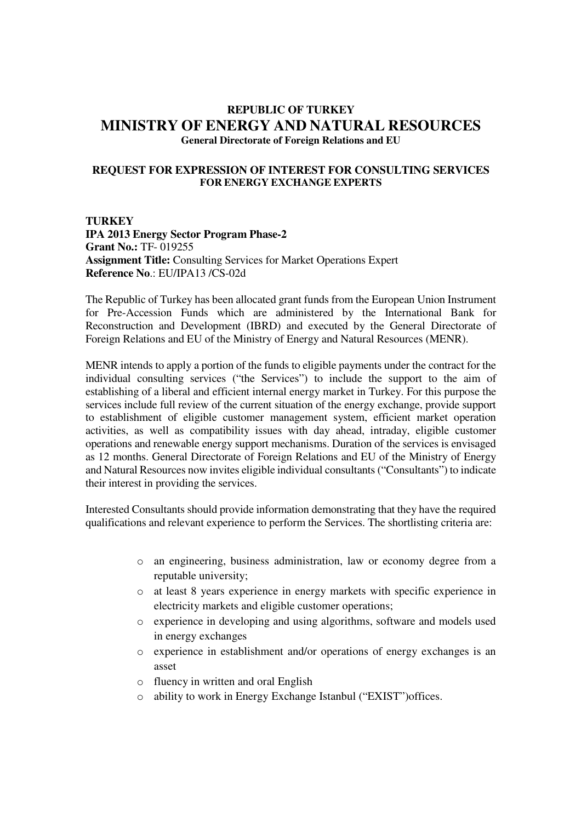## **REPUBLIC OF TURKEY MINISTRY OF ENERGY AND NATURAL RESOURCES General Directorate of Foreign Relations and EU**

## **REQUEST FOR EXPRESSION OF INTEREST FOR CONSULTING SERVICES FOR ENERGY EXCHANGE EXPERTS**

**TURKEY IPA 2013 Energy Sector Program Phase-2 Grant No.:** TF- 019255 **Assignment Title:** Consulting Services for Market Operations Expert **Reference No**.: EU/IPA13 /CS-02d

The Republic of Turkey has been allocated grant funds from the European Union Instrument for Pre-Accession Funds which are administered by the International Bank for Reconstruction and Development (IBRD) and executed by the General Directorate of Foreign Relations and EU of the Ministry of Energy and Natural Resources (MENR).

MENR intends to apply a portion of the funds to eligible payments under the contract for the individual consulting services ("the Services") to include the support to the aim of establishing of a liberal and efficient internal energy market in Turkey. For this purpose the services include full review of the current situation of the energy exchange, provide support to establishment of eligible customer management system, efficient market operation activities, as well as compatibility issues with day ahead, intraday, eligible customer operations and renewable energy support mechanisms. Duration of the services is envisaged as 12 months. General Directorate of Foreign Relations and EU of the Ministry of Energy and Natural Resources now invites eligible individual consultants ("Consultants") to indicate their interest in providing the services.

Interested Consultants should provide information demonstrating that they have the required qualifications and relevant experience to perform the Services. The shortlisting criteria are:

- o an engineering, business administration, law or economy degree from a reputable university;
- o at least 8 years experience in energy markets with specific experience in electricity markets and eligible customer operations;
- o experience in developing and using algorithms, software and models used in energy exchanges
- o experience in establishment and/or operations of energy exchanges is an asset
- o fluency in written and oral English
- o ability to work in Energy Exchange Istanbul ("EXIST")offices.